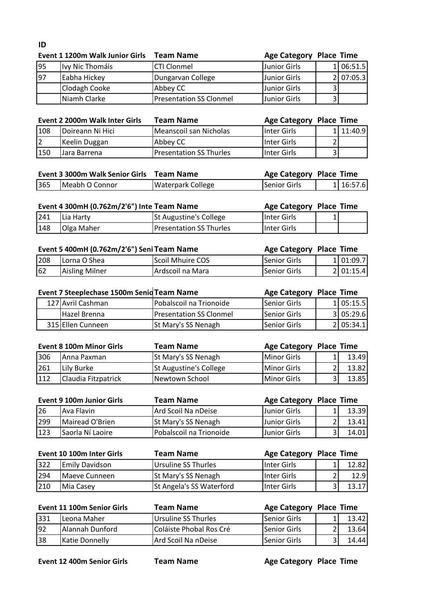# **ID**

| Event 1 1200m Walk Junior Girls | <b>Team Name</b>               |              |                                            |                                |
|---------------------------------|--------------------------------|--------------|--------------------------------------------|--------------------------------|
| Ivy Nic Thomáis                 | <b>CTI Clonmel</b>             |              |                                            | 1 06:51.5                      |
| Eabha Hickey                    | Dungarvan College              | Junior Girls |                                            | 2 07:05.3                      |
| Clodagh Cooke                   | Abbey CC                       | Junior Girls |                                            |                                |
| Niamh Clarke                    | <b>Presentation SS Clonmel</b> |              |                                            |                                |
|                                 |                                |              | <b>Junior Girls</b><br><b>Junior Girls</b> | <b>Age Category Place Time</b> |

|     | Event 2 2000m Walk Inter Girls | <b>Team Name</b>               | <b>Age Category Place Time</b> |           |
|-----|--------------------------------|--------------------------------|--------------------------------|-----------|
| 108 | lDoireann Ni Hici              | Meanscoil san Nicholas         | <b>I</b> Inter Girls           | 1 11:40.9 |
| 2   | Keelin Duggan                  | Abbey CC                       | <b>Inter Girls</b>             |           |
| 150 | Jara Barrena                   | <b>Presentation SS Thurles</b> | Inter Girls                    |           |

| Event 3 3000m Walk Senior Girls Team Name |                |                          |              | Age Category Place Time |           |  |
|-------------------------------------------|----------------|--------------------------|--------------|-------------------------|-----------|--|
| 365                                       | Meabh O Connor | <b>Waterpark College</b> | Senior Girls |                         | 1 16:57.6 |  |

| Event 4 300mH (0.762m/2'6") Inte Team Name |            |                                 | <b>Age Category Place Time</b> |  |
|--------------------------------------------|------------|---------------------------------|--------------------------------|--|
| 241                                        | Lia Harty  | <b>St Augustine's College</b>   | <b>Inter Girls</b>             |  |
| 148                                        | Olga Maher | <b>IPresentation SS Thurles</b> | <b>Inter Girls</b>             |  |

| Event 5 400mH (0.762m/2'6") Seni Team Name |                |                  | <b>Age Category Place Time</b> |           |
|--------------------------------------------|----------------|------------------|--------------------------------|-----------|
| 208                                        | Lorna O Shea   | Scoil Mhuire COS | <b>Senior Girls</b>            | 1 01:09.7 |
| 62                                         | Aisling Milner | Ardscoil na Mara | ISenior Girls                  | 2 01:15.4 |

| Event 7 Steeplechase 1500m Senid Team Name |                                | Age Category Place Time |           |
|--------------------------------------------|--------------------------------|-------------------------|-----------|
| 127 Avril Cashman                          | Pobalscoil na Trionoide        | Senior Girls            | 1 05:15.5 |
| Hazel Brenna                               | <b>Presentation SS Clonmel</b> | Senior Girls            | 3 05:29.6 |
| 315 Ellen Cunneen                          | St Mary's SS Nenagh            | Senior Girls            | 2 05:34.1 |

|      | <b>Event 8 100m Minor Girls</b> | <b>Team Name</b>           | Age Category Place Time |       |
|------|---------------------------------|----------------------------|-------------------------|-------|
| 306  | <b>JAnna Paxman</b>             | <b>St Mary's SS Nenagh</b> | <b>IMinor Girls</b>     | 13.49 |
| 261  | Lily Burke                      | St Augustine's College     | <b>IMinor Girls</b>     | 13.82 |
| 1112 | Claudia Fitzpatrick             | Newtown School             | <b>IMinor Girls</b>     | 13.85 |

|     | <b>Event 9 100m Junior Girls</b> | <b>Team Name</b>           | <b>Age Category Place Time</b> |       |
|-----|----------------------------------|----------------------------|--------------------------------|-------|
| 26  | Ava Flavin                       | Ard Scoil Na nDeise        | <b>Uunior Girls</b>            | 13.39 |
| 299 | Mairead O'Brien                  | <b>St Mary's SS Nenagh</b> | <b>Uunior Girls</b>            | 13.41 |
| 123 | Saorla Ní Laoire                 | lPobalscoil na Trionoide   | <b>Uunior Girls</b>            | 14.01 |

|     | Event 10 100m Inter Girls | <b>Team Name</b>           | <b>Age Category Place Time</b> |        |
|-----|---------------------------|----------------------------|--------------------------------|--------|
| 322 | <b>Emily Davidson</b>     | Ursuline SS Thurles        | IInter Girls                   | 12.82  |
| 294 | <b>IMaeve Cunneen</b>     | <b>St Mary's SS Nenagh</b> | IInter Girls                   | 12.9   |
| 210 | Mia Casey                 | St Angela's SS Waterford   | IInter Girls                   | 13.171 |

|     | Event 11 100m Senior Girls | <b>Team Name</b>               | <b>Age Category Place Time</b> |       |
|-----|----------------------------|--------------------------------|--------------------------------|-------|
| 331 | Leona Maher                | Ursuline SS Thurles            | <b>I</b> Senior Girls          | 13.42 |
| 92  | Alannah Dunford            | <b>Coláiste Phobal Ros Cré</b> | <b>ISenior Girls</b>           | 13.64 |
| 38  | Katie Donnelly             | Ard Scoil Na nDeise            | <b>I</b> Senior Girls          | 14.44 |

**Event 12 400m Senior Girls Team Name Age Category Place Time**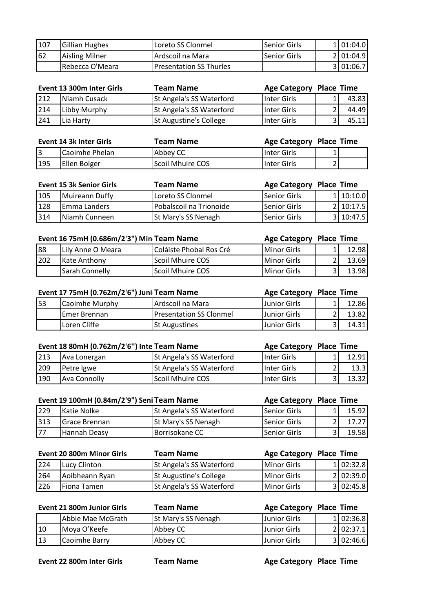| 107 | Gillian Hughes  | Loreto SS Clonmel               | <b>I</b> Senior Girls | 11 01:04.0 |
|-----|-----------------|---------------------------------|-----------------------|------------|
| 62  | Aisling Milner  | IArdscoil na Mara               | lSenior Girls         | 2 01:04.9  |
|     | Rebecca O'Meara | <b>IPresentation SS Thurles</b> |                       | 3 01:06.7  |

|     | Event 13 300m Inter Girls | <b>Team Name</b>         | Age Category Place Time |       |
|-----|---------------------------|--------------------------|-------------------------|-------|
| 212 | Niamh Cusack              | St Angela's SS Waterford | Inter Girls             | 43.83 |
| 214 | Libby Murphy              | St Angela's SS Waterford | Inter Girls             | 44.49 |
| 241 | lLia Harty                | St Augustine's College   | Inter Girls             | 45.11 |

| Event 14 3k Inter Girls |                | Team Name               | Age Category Place Time |                |  |
|-------------------------|----------------|-------------------------|-------------------------|----------------|--|
|                         | Caoimhe Phelan | Abbey CC                | <b>Inter Girls</b>      |                |  |
| 195                     | Ellen Bolger   | <b>Scoil Mhuire COS</b> | <b>Inter Girls</b>      | $\overline{2}$ |  |

|     | <b>Event 15 3k Senior Girls</b> | <b>Team Name</b>           | <b>Age Category Place Time</b> |           |
|-----|---------------------------------|----------------------------|--------------------------------|-----------|
| 105 | Muireann Duffy                  | Loreto SS Clonmel          | <b>Senior Girls</b>            | 1 10:10.0 |
| 128 | <b>Emma Landers</b>             | Pobalscoil na Trionoide    | Senior Girls                   | 2 10:17.5 |
| 314 | INiamh Cunneen                  | <b>St Mary's SS Nenagh</b> | Senior Girls                   | 3 10:47.5 |

| Event 16 75mH (0.686m/2'3") Min Team Name |                      |                                | <b>Age Category Place Time</b> |       |
|-------------------------------------------|----------------------|--------------------------------|--------------------------------|-------|
| 88                                        | Lily Anne O Meara    | <b>Coláiste Phobal Ros Cré</b> | <b>IMinor Girls</b>            | 12.98 |
| 202                                       | <b>IKate Anthony</b> | Scoil Mhuire COS               | <b>IMinor Girls</b>            | 13.69 |
|                                           | Sarah Connelly       | Scoil Mhuire COS               | <b>IMinor Girls</b>            | 13.98 |

| Event 17 75mH (0.762m/2'6") Juni Team Name |                      |                                | Age Category Place Time |       |
|--------------------------------------------|----------------------|--------------------------------|-------------------------|-------|
| 53                                         | Caoimhe Murphy       | Ardscoil na Mara               | <b>Uunior Girls</b>     | 12.86 |
|                                            | <b>IEmer Brennan</b> | <b>Presentation SS Clonmel</b> | <b>Junior Girls</b>     | 13.82 |
|                                            | Loren Cliffe         | <b>St Augustines</b>           | <b>Junior Girls</b>     | 14.31 |

| Event 18 80mH (0.762m/2'6") Inte Team Name |              |                          | <b>Age Category Place Time</b> |       |
|--------------------------------------------|--------------|--------------------------|--------------------------------|-------|
| $ 213\rangle$                              | Ava Lonergan | St Angela's SS Waterford | <b>I</b> Inter Girls           | 12.91 |
| 209                                        | Petre Igwe   | St Angela's SS Waterford | Inter Girls                    | 13.3  |
| 190                                        | Ava Connolly | <b>Scoil Mhuire COS</b>  | Inter Girls                    | 13.32 |

| 229<br>St Angela's SS Waterford<br>Senior Girls<br><b>Katie Nolke</b><br>313<br>St Mary's SS Nenagh<br>Senior Girls<br>Grace Brennan |       |
|--------------------------------------------------------------------------------------------------------------------------------------|-------|
|                                                                                                                                      | 15.92 |
|                                                                                                                                      | 17.27 |
| 177<br>Senior Girls<br>Borrisokane CC<br>Hannah Deasy                                                                                | 19.58 |

|     | Event 20 800m Minor Girls | <b>Team Name</b>              | <b>Age Category Place Time</b> |           |
|-----|---------------------------|-------------------------------|--------------------------------|-----------|
| 224 | Lucy Clinton              | St Angela's SS Waterford      | <b>IMinor Girls</b>            | 1 02:32.8 |
| 264 | Aoibheann Ryan            | <b>St Augustine's College</b> | Minor Girls                    | 2 02:39.0 |
| 226 | <b>IFiona Tamen</b>       | St Angela's SS Waterford      | <b>IMinor Girls</b>            | 3 02:45.8 |

|    | Event 21 800m Junior Girls | <b>Team Name</b>    | Age Category Place Time |           |
|----|----------------------------|---------------------|-------------------------|-----------|
|    | Abbie Mae McGrath          | St Mary's SS Nenagh | <b>Uunior Girls</b>     | 1 02:36.8 |
| 10 | Moya O'Keefe               | Abbey CC            | <b>Junior Girls</b>     | 2 02:37.1 |
| 13 | Caoimhe Barry              | Abbey CC            | IJunior Girls           | 3 02:46.6 |

**Event 22 800m Inter Girls Team Name Age Category Place Time**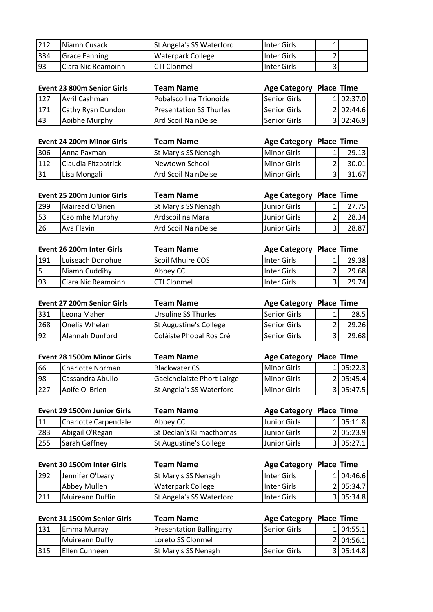| 212 | <b>INiamh Cusack</b> | St Angela's SS Waterford | <b>Inter Girls</b> | 1  |  |
|-----|----------------------|--------------------------|--------------------|----|--|
| 334 | <b>Grace Fanning</b> | Waterpark College        | <b>Inter Girls</b> | 21 |  |
| 193 | ICiara Nic Reamoinn  | <b>CTI Clonmel</b>       | <b>Inter Girls</b> |    |  |

|           | Event 23 800m Senior Girls | <b>Team Name</b>               | <b>Age Category Place Time</b> |            |
|-----------|----------------------------|--------------------------------|--------------------------------|------------|
| 127       | Avril Cashman              | Pobalscoil na Trionoide        | <b>ISenior Girls</b>           | 1 02:37.0  |
| 1171      | Cathy Ryan Dundon          | <b>Presentation SS Thurles</b> | <b>ISenior Girls</b>           | 2 02:44.6  |
| <b>43</b> | Aoibhe Murphy              | Ard Scoil Na nDeise            | lSenior Girls                  | 3102:46.91 |

|     | <b>Event 24 200m Minor Girls</b> | <b>Team Name</b>    | <b>Age Category Place Time</b> |       |
|-----|----------------------------------|---------------------|--------------------------------|-------|
| 306 | Anna Paxman                      | St Mary's SS Nenagh | <b>I</b> Minor Girls           | 29.13 |
| 112 | Claudia Fitzpatrick              | Newtown School      | Minor Girls                    | 30.01 |
| 31  | Lisa Mongali                     | Ard Scoil Na nDeise | lMinor Girls                   | 31.67 |

|     | <b>Event 25 200m Junior Girls</b> | Team Name                  | <b>Age Category Place Time</b> |        |
|-----|-----------------------------------|----------------------------|--------------------------------|--------|
| 299 | Mairead O'Brien                   | <b>St Mary's SS Nenagh</b> | <b>Junior Girls</b>            | 27.75I |
| 53  | Caoimhe Murphy                    | Ardscoil na Mara           | <b>Uunior Girls</b>            | 28.34  |
| 26  | IAva Flavin                       | Ard Scoil Na nDeise        | LJunior Girls                  | 28.87  |

|     | Event 26 200m Inter Girls | Team Name          | Age Category Place Time |        |
|-----|---------------------------|--------------------|-------------------------|--------|
| 191 | Luiseach Donohue          | Scoil Mhuire COS   | IInter Girls            | 29.38  |
| l5  | Niamh Cuddihy             | Abbey CC           | <b>I</b> Inter Girls    | 29.68  |
| 93  | ICiara Nic Reamoinn       | <b>CTI Clonmel</b> | IInter Girls            | 29.74I |

|     | <b>Event 27 200m Senior Girls</b> | <b>Team Name</b>              | Age Category Place Time |       |
|-----|-----------------------------------|-------------------------------|-------------------------|-------|
| 331 | ILeona Maher                      | Ursuline SS Thurles           | <b>ISenior Girls</b>    | 28.5  |
| 268 | Onelia Whelan                     | <b>St Augustine's College</b> | <b>ISenior Girls</b>    | 29.26 |
| 92  | Alannah Dunford                   | Coláiste Phobal Ros Cré       | Senior Girls            | 29.68 |

|     | Event 28 1500m Minor Girls | <b>Team Name</b>                | <b>Age Category Place Time</b> |           |
|-----|----------------------------|---------------------------------|--------------------------------|-----------|
| 66  | Charlotte Norman           | <b>Blackwater CS</b>            | <b>IMinor Girls</b>            | 1 05:22.3 |
| 98  | Cassandra Abullo           | Gaelcholaiste Phort Lairge      | <b>IMinor Girls</b>            | 2 05:45.4 |
| 227 | lAoife O' Brien            | <b>St Angela's SS Waterford</b> | <b>IMinor Girls</b>            | 3 05:47.5 |

|     | Event 29 1500m Junior Girls | Team Name                     | <b>Age Category Place Time</b> |           |
|-----|-----------------------------|-------------------------------|--------------------------------|-----------|
| 11  | Charlotte Carpendale        | Abbey CC                      | <b>Uunior Girls</b>            | 1 05:11.8 |
| 283 | Abigail O'Regan             | St Declan's Kilmacthomas      | Junior Girls                   | 2 05:23.9 |
| 255 | Sarah Gaffney               | <b>St Augustine's College</b> | <b>Junior Girls</b>            | 3 05:27.1 |

|             | Event 30 1500m Inter Girls | <b>Team Name</b>         | Age Category Place Time |           |
|-------------|----------------------------|--------------------------|-------------------------|-----------|
| 292         | Jennifer O'Leary           | St Mary's SS Nenagh      | <b>I</b> Inter Girls    | 1 04:46.6 |
|             | Abbey Mullen               | <b>Waterpark College</b> | Inter Girls             | 2 05:34.7 |
| <u> 211</u> | Muireann Duffin            | St Angela's SS Waterford | IInter Girls            | 3 05:34.8 |

|     | Event 31 1500m Senior Girls | <b>Team Name</b>                | <b>Age Category Place Time</b> |           |
|-----|-----------------------------|---------------------------------|--------------------------------|-----------|
| 131 | Emma Murrav                 | <b>Presentation Ballingarry</b> | <b>ISenior Girls</b>           | 1 04:55.1 |
|     | Muireann Duffy              | Loreto SS Clonmel               |                                | 2 04:56.1 |
| 315 | IEllen Cunneen              | St Mary's SS Nenagh             | lSenior Girls                  | 3 05:14.8 |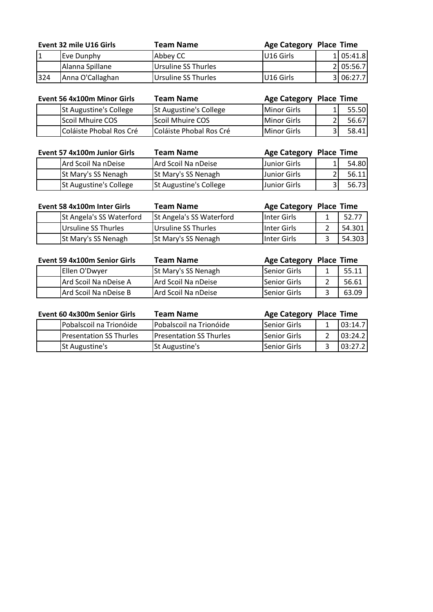|     | Event 32 mile U16 Girls | Team Name           | Age Category Place Time |           |
|-----|-------------------------|---------------------|-------------------------|-----------|
|     | Eve Dunphy              | Abbey CC            | <b>IU16 Girls</b>       | 1 05:41.8 |
|     | Alanna Spillane         | Ursuline SS Thurles |                         | 2 05:56.7 |
| 324 | Anna O'Callaghan        | Ursuline SS Thurles | IU16 Girls              | 3 06:27.7 |

| Event 56 4x100m Minor Girls   | <b>Team Name</b>              | <b>Age Category Place Time</b> |       |
|-------------------------------|-------------------------------|--------------------------------|-------|
| <b>St Augustine's College</b> | <b>St Augustine's College</b> | Minor Girls                    | 55.50 |
| Scoil Mhuire COS              | Scoil Mhuire COS              | Minor Girls                    | 56.67 |
| Coláiste Phobal Ros Cré       | Coláiste Phobal Ros Cré       | Minor Girls                    | 58.41 |

| Event 57 4x100m Junior Girls | <b>Team Name</b>       | Age Category Place Time |       |
|------------------------------|------------------------|-------------------------|-------|
| Ard Scoil Na nDeise          | Ard Scoil Na nDeise    | Junior Girls            | 54.80 |
| St Mary's SS Nenagh          | St Mary's SS Nenagh    | Junior Girls            | 56.11 |
| St Augustine's College       | St Augustine's College | Junior Girls            | 56.73 |

| Event 58 4x100m Inter Girls | <b>Team Name</b>         | Age Category Place Time |        |
|-----------------------------|--------------------------|-------------------------|--------|
| St Angela's SS Waterford    | St Angela's SS Waterford | <b>Inter Girls</b>      | 52.77  |
| Ursuline SS Thurles         | Ursuline SS Thurles      | <b>I</b> Inter Girls    | 54.301 |
| <b>St Mary's SS Nenagh</b>  | St Mary's SS Nenagh      | IInter Girls            | 54.303 |

| Event 59 4x100m Senior Girls | Team Name                  | <b>Age Category Place Time</b> |       |
|------------------------------|----------------------------|--------------------------------|-------|
| Ellen O'Dwyer                | <b>St Mary's SS Nenagh</b> | lSenior Girls                  | 55.11 |
| Ard Scoil Na nDeise A        | Ard Scoil Na nDeise        | lSenior Girls                  | 56.61 |
| Ard Scoil Na nDeise B        | Ard Scoil Na nDeise        | Senior Girls                   | 63.09 |

| Event 60 4x300m Senior Girls | Team Name                      | <b>Age Category Place Time</b> |         |
|------------------------------|--------------------------------|--------------------------------|---------|
| Pobalscoil na Trionóide      | Pobalscoil na Trionóide        | <b>Senior Girls</b>            | 03:14.7 |
| Presentation SS Thurles      | <b>Presentation SS Thurles</b> | Senior Girls                   | 03:24.2 |
| <b>St Augustine's</b>        | St Augustine's                 | <b>Senior Girls</b>            | 03:27.2 |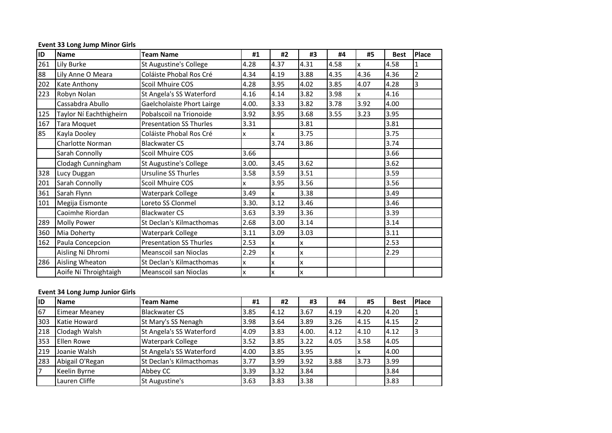| ID  | <b>Name</b>             | <b>Team Name</b>               | #1    | #2   | #3   | #4   | #5   | <b>Best</b> | Place |
|-----|-------------------------|--------------------------------|-------|------|------|------|------|-------------|-------|
| 261 | Lily Burke              | St Augustine's College         | 4.28  | 4.37 | 4.31 | 4.58 | x    | 4.58        | 1     |
| 88  | Lily Anne O Meara       | Coláiste Phobal Ros Cré        | 4.34  | 4.19 | 3.88 | 4.35 | 4.36 | 4.36        | 2     |
| 202 | Kate Anthony            | Scoil Mhuire COS               | 4.28  | 3.95 | 4.02 | 3.85 | 4.07 | 4.28        | Iз    |
| 223 | Robyn Nolan             | St Angela's SS Waterford       | 4.16  | 4.14 | 3.82 | 3.98 | X    | 4.16        |       |
|     | Cassabdra Abullo        | Gaelcholaiste Phort Lairge     | 4.00. | 3.33 | 3.82 | 3.78 | 3.92 | 4.00        |       |
| 125 | Taylor Ní Eachthigheirn | Pobalscoil na Trionoide        | 3.92  | 3.95 | 3.68 | 3.55 | 3.23 | 3.95        |       |
| 167 | <b>Tara Moquet</b>      | <b>Presentation SS Thurles</b> | 3.31  |      | 3.81 |      |      | 3.81        |       |
| 85  | Kayla Dooley            | Coláiste Phobal Ros Cré        | X     | x    | 3.75 |      |      | 3.75        |       |
|     | Charlotte Norman        | <b>Blackwater CS</b>           |       | 3.74 | 3.86 |      |      | 3.74        |       |
|     | Sarah Connolly          | Scoil Mhuire COS               | 3.66  |      |      |      |      | 3.66        |       |
|     | Clodagh Cunningham      | St Augustine's College         | 3.00. | 3.45 | 3.62 |      |      | 3.62        |       |
| 328 | Lucy Duggan             | <b>Ursuline SS Thurles</b>     | 3.58  | 3.59 | 3.51 |      |      | 3.59        |       |
| 201 | Sarah Connolly          | Scoil Mhuire COS               | x     | 3.95 | 3.56 |      |      | 3.56        |       |
| 361 | Sarah Flynn             | Waterpark College              | 3.49  | X    | 3.38 |      |      | 3.49        |       |
| 101 | Megija Eismonte         | Loreto SS Clonmel              | 3.30. | 3.12 | 3.46 |      |      | 3.46        |       |
|     | Caoimhe Riordan         | <b>Blackwater CS</b>           | 3.63  | 3.39 | 3.36 |      |      | 3.39        |       |
| 289 | <b>Molly Power</b>      | St Declan's Kilmacthomas       | 2.68  | 3.00 | 3.14 |      |      | 3.14        |       |
| 360 | Mia Doherty             | Waterpark College              | 3.11  | 3.09 | 3.03 |      |      | 3.11        |       |
| 162 | Paula Concepcion        | <b>Presentation SS Thurles</b> | 2.53  | X    | x    |      |      | 2.53        |       |
|     | Aisling Ní Dhromi       | <b>Meanscoil san Nioclas</b>   | 2.29  | x    | x    |      |      | 2.29        |       |
| 286 | Aisling Wheaton         | St Declan's Kilmacthomas       | X     | X    | x    |      |      |             |       |
|     | Aoife Ní Throightaigh   | <b>Meanscoil san Nioclas</b>   | x     | x    | x    |      |      |             |       |

#### **Event 33 Long Jump Minor Girls**

## **Event 34 Long Jump Junior Girls**

| <b>IID</b> | <b>Name</b>          | <b>Team Name</b>         | #1   | #2   | #3    | #4   | #5   | <b>Best</b> | <b>Place</b> |
|------------|----------------------|--------------------------|------|------|-------|------|------|-------------|--------------|
| 67         | <b>Eimear Meaney</b> | <b>Blackwater CS</b>     | 3.85 | 4.12 | 3.67  | 4.19 | 4.20 | 4.20        |              |
| 303        | Katie Howard         | St Mary's SS Nenagh      | 3.98 | 3.64 | 3.89  | 3.26 | 4.15 | 4.15        |              |
| 218        | Clodagh Walsh        | St Angela's SS Waterford | 4.09 | 3.83 | 4.00. | 4.12 | 4.10 | 4.12        | 3            |
| 353        | <b>Ellen Rowe</b>    | <b>Waterpark College</b> | 3.52 | 3.85 | 3.22  | 4.05 | 3.58 | 4.05        |              |
| 219        | Joanie Walsh         | St Angela's SS Waterford | 4.00 | 3.85 | 3.95  |      |      | 4.00        |              |
| 283        | Abigail O'Regan      | St Declan's Kilmacthomas | 3.77 | 3.99 | 3.92  | 3.88 | 3.73 | 3.99        |              |
| 17         | Keelin Byrne         | Abbey CC                 | 3.39 | 3.32 | 3.84  |      |      | 3.84        |              |
|            | Lauren Cliffe        | St Augustine's           | 3.63 | 3.83 | 3.38  |      |      | 3.83        |              |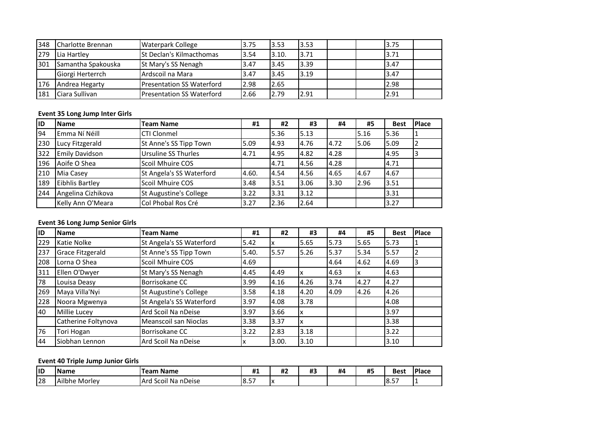| 348 | <b>Charlotte Brennan</b> | <b>Waterpark College</b>         | 3.75 | 3.53  | 3.53 | 13.75 |  |
|-----|--------------------------|----------------------------------|------|-------|------|-------|--|
| 279 | Lia Hartley              | <b>ISt Declan's Kilmacthomas</b> | 3.54 | 3.10. | 3.71 | 3.71  |  |
| 301 | Samantha Spakouska       | St Mary's SS Nenagh              | 3.47 | 3.45  | 3.39 | 3.47  |  |
|     | Giorgi Herterrch         | Ardscoil na Mara                 | 3.47 | 3.45  | 3.19 | 3.47  |  |
| 176 | Andrea Hegarty           | <b>Presentation SS Waterford</b> | 2.98 | 2.65  |      | 2.98  |  |
| 181 | Ciara Sullivan           | Presentation SS Waterford        | 2.66 | 2.79  | 2.91 | 2.91  |  |

# **Event 35 Long Jump Inter Girls**

| <b>IID</b> | <b>Name</b>            | <b>Team Name</b>           | #1    | #2   | #3   | #4   | #5    | <b>Best</b> | Place |
|------------|------------------------|----------------------------|-------|------|------|------|-------|-------------|-------|
| 94         | Emma Ní Néill          | CTI Clonmel                |       | 5.36 | 5.13 |      | 15.16 | 5.36        |       |
| 230        | Lucy Fitzgerald        | St Anne's SS Tipp Town     | 5.09  | 4.93 | 4.76 | 4.72 | 5.06  | 5.09        |       |
| 322        | Emily Davidson         | <b>Ursuline SS Thurles</b> | 4.71  | 4.95 | 4.82 | 4.28 |       | 4.95        | 3     |
| 196        | Aoife O Shea           | Scoil Mhuire COS           |       | 4.71 | 4.56 | 4.28 |       | 4.71        |       |
| 210        | Mia Casey              | St Angela's SS Waterford   | 4.60. | 4.54 | 4.56 | 4.65 | 4.67  | 4.67        |       |
| 189        | <b>Eibhlis Bartley</b> | Scoil Mhuire COS           | 3.48  | 3.51 | 3.06 | 3.30 | 2.96  | 3.51        |       |
| 244        | Angelina Cizhikova     | St Augustine's College     | 3.22  | 3.31 | 3.12 |      |       | 3.31        |       |
|            | Kelly Ann O'Meara      | Col Phobal Ros Cré         | 3.27  | 2.36 | 2.64 |      |       | 3.27        |       |

# **Event 36 Long Jump Senior Girls**

| <b>IID</b> | <b>Name</b>             | <b>Team Name</b>         | #1    | #2    | #3   | #4   | #5   | <b>Best</b> | <b>Place</b> |
|------------|-------------------------|--------------------------|-------|-------|------|------|------|-------------|--------------|
| 229        | Katie Nolke             | St Angela's SS Waterford | 5.42  |       | 5.65 | 5.73 | 5.65 | 5.73        |              |
| 237        | <b>Grace Fitzgerald</b> | St Anne's SS Tipp Town   | 5.40. | 5.57  | 5.26 | 5.37 | 5.34 | 5.57        |              |
| 208        | Lorna O Shea            | Scoil Mhuire COS         | 4.69  |       |      | 4.64 | 4.62 | 4.69        | 3            |
| 311        | Ellen O'Dwyer           | St Mary's SS Nenagh      | 4.45  | 4.49  |      | 4.63 | x    | 4.63        |              |
| 78         | Louisa Deasy            | Borrisokane CC           | 3.99  | 4.16  | 4.26 | 3.74 | 4.27 | 4.27        |              |
| 269        | Maya Villa'Nyi          | St Augustine's College   | 3.58  | 4.18  | 4.20 | 4.09 | 4.26 | 4.26        |              |
| 228        | Noora Mgwenya           | St Angela's SS Waterford | 3.97  | 4.08  | 3.78 |      |      | 4.08        |              |
| 40         | Millie Lucey            | Ard Scoil Na nDeise      | 3.97  | 3.66  |      |      |      | 3.97        |              |
|            | Catherine Foltynova     | Meanscoil san Nioclas    | 3.38  | 3.37  |      |      |      | 3.38        |              |
| 76         | Tori Hogan              | Borrisokane CC           | 3.22  | 2.83  | 3.18 |      |      | 3.22        |              |
| 44         | Siobhan Lennon          | Ard Scoil Na nDeise      | ΙX    | 3.00. | 3.10 |      |      | 3.10        |              |

# **Event 40 Triple Jump Junior Girls**

| 11D | <b>IName</b>     | --<br><b>Name</b><br><b>feam</b> | 44<br>π.    | <br>17 L   | <br>π. | #4 | <br>π., | <b>Best</b>  | <b>Place</b> |
|-----|------------------|----------------------------------|-------------|------------|--------|----|---------|--------------|--------------|
| 128 | Ailbhe<br>Morley | nDeise<br>Na<br>Arc<br>Scoil     | $ -$<br>8.5 | $\sqrt{ }$ |        |    |         | $- -$<br>8.5 | . .          |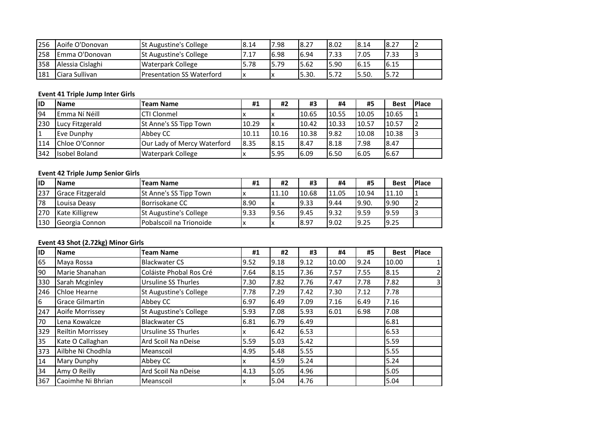| 256 | Aoife O'Donovan        | <b>St Augustine's College</b> | 8.14 | 7.98 | 8.27   | 18.02 | 18.14 | 8.27 |  |
|-----|------------------------|-------------------------------|------|------|--------|-------|-------|------|--|
| 258 | <b>IEmma O'Donovan</b> | <b>St Augustine's College</b> | 7.17 | 6.98 | 6.94   | 7.33  | 7.05  | 7.33 |  |
| 358 | Alessia Cislaghi       | <b>Waterpark College</b>      | 5.78 | 5.79 | 15.62  | 5.90  | 16.15 | 6.15 |  |
| 181 | Ciara Sullivan         | Presentation SS Waterford     | Iχ   |      | 15.30. |       | 15.50 | 5.72 |  |

# **Event 41 Triple Jump Inter Girls**

| <b>IID</b> | <b>Name</b>           | <b>Team Name</b>            | #1    | #2    | #3    | #4    | #5    | <b>Best</b> | <b>Place</b> |
|------------|-----------------------|-----------------------------|-------|-------|-------|-------|-------|-------------|--------------|
| 94         | Emma Ní Néill         | <b>CTI Clonmel</b>          |       |       | 10.65 | 10.55 | 10.05 | 10.65       |              |
| 230        | Lucy Fitzgerald       | St Anne's SS Tipp Town      | 10.29 | Ιx    | 10.42 | 10.33 | 10.57 | 10.57       |              |
|            | Eve Dunphy            | Abbey CC                    | 10.11 | 10.16 | 10.38 | 9.82  | 10.08 | 10.38       |              |
| 114        | <b>Chloe O'Connor</b> | Our Lady of Mercy Waterford | 8.35  | 8.15  | 8.47  | 8.18  | 7.98  | 8.47        |              |
| 342        | Isobel Boland         | <b>Waterpark College</b>    |       | 5.95  | 6.09  | 6.50  | 6.05  | 6.67        |              |

# **Event 42 Triple Jump Senior Girls**

| <b>IID</b> | <b>Name</b>             | <b>Team Name</b>        | #1   | #2    | #3    | #4    | #5     | <b>Best</b> | <b>IPlace</b> |
|------------|-------------------------|-------------------------|------|-------|-------|-------|--------|-------------|---------------|
| 237        | <b>Grace Fitzgerald</b> | St Anne's SS Tipp Town  |      | 11.10 | 10.68 | 11.05 | 10.94  | 11.10       |               |
| 78         | Louisa Deasy            | Borrisokane CC          | 8.90 | Iχ    | 19.33 | 9.44  | 19.90. | 9.90        |               |
| 270        | <b>Kate Killigrew</b>   | St Augustine's College  | 9.33 | 9.56  | 9.45  | 9.32  | 9.59   | 9.59        |               |
| 130        | Georgia Connon          | Pobalscoil na Trionoide | ◠    |       | 8.97  | 9.02  | 9.25   | 9.25        |               |

# **Event 43 Shot (2.72kg) Minor Girls**

| ID  | <b>Name</b>              | <b>Team Name</b>              | #1   | #2   | #3   | #4    | #5   | <b>Best</b> | Place |
|-----|--------------------------|-------------------------------|------|------|------|-------|------|-------------|-------|
| 65  | Maya Rossa               | <b>Blackwater CS</b>          | 9.52 | 9.18 | 9.12 | 10.00 | 9.24 | 10.00       |       |
| 90  | Marie Shanahan           | Coláiste Phobal Ros Cré       | 7.64 | 8.15 | 7.36 | 7.57  | 7.55 | 8.15        | 2     |
| 330 | Sarah Mcginley           | Ursuline SS Thurles           | 7.30 | 7.82 | 7.76 | 7.47  | 7.78 | 7.82        | 3     |
| 246 | Chloe Hearne             | <b>St Augustine's College</b> | 7.78 | 7.29 | 7.42 | 7.30  | 7.12 | 7.78        |       |
| 6   | <b>Grace Gilmartin</b>   | Abbey CC                      | 6.97 | 6.49 | 7.09 | 7.16  | 6.49 | 7.16        |       |
| 247 | Aoife Morrissey          | <b>St Augustine's College</b> | 5.93 | 7.08 | 5.93 | 6.01  | 6.98 | 7.08        |       |
| 70  | Lena Kowalcze            | <b>Blackwater CS</b>          | 6.81 | 6.79 | 6.49 |       |      | 6.81        |       |
| 329 | <b>Reiltin Morrissey</b> | Ursuline SS Thurles           | x    | 6.42 | 6.53 |       |      | 6.53        |       |
| 35  | Kate O Callaghan         | Ard Scoil Na nDeise           | 5.59 | 5.03 | 5.42 |       |      | 5.59        |       |
| 373 | Ailbhe Ni Chodhla        | Meanscoil                     | 4.95 | 5.48 | 5.55 |       |      | 5.55        |       |
| 14  | <b>Mary Dunphy</b>       | Abbey CC                      | x    | 4.59 | 5.24 |       |      | 5.24        |       |
| 34  | Amy O Reilly             | Ard Scoil Na nDeise           | 4.13 | 5.05 | 4.96 |       |      | 5.05        |       |
| 367 | Caoimhe Ni Bhrian        | Meanscoil                     | X    | 5.04 | 4.76 |       |      | 5.04        |       |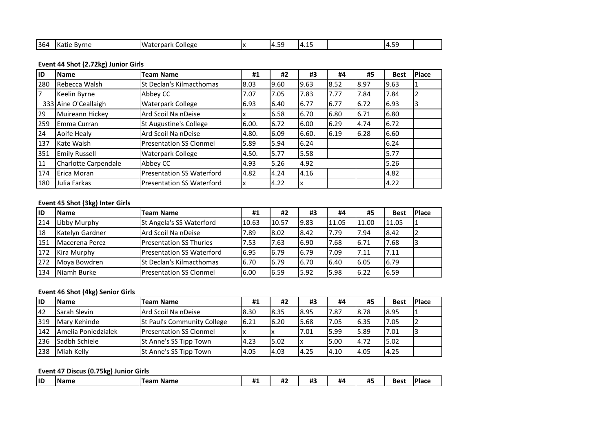| 1364 | wrn.<br>n al<br>. | _ollegr<br>/ 17<br>דר<br>i i di K | '' | - -<br>$\overline{ }$<br>--<br><u> 14</u><br>τ. Ο | 14. |  | 171<br>w<br><br>. |  |
|------|-------------------|-----------------------------------|----|---------------------------------------------------|-----|--|-------------------|--|

# **Event 44 Shot (2.72kg) Junior Girls**

| lıD | <b>Name</b>          | <b>Team Name</b>                 | #1    | #2   | #3    | #4   | #5   | <b>Best</b> | Place |
|-----|----------------------|----------------------------------|-------|------|-------|------|------|-------------|-------|
| 280 | Rebecca Walsh        | St Declan's Kilmacthomas         | 8.03  | 9.60 | 9.63  | 8.52 | 8.97 | 9.63        |       |
|     | Keelin Byrne         | Abbey CC                         | 7.07  | 7.05 | 7.83  | 7.77 | 7.84 | 7.84        | 2     |
|     | 333 Aine O'Ceallaigh | Waterpark College                | 6.93  | 6.40 | 6.77  | 6.77 | 6.72 | 6.93        | 3     |
| 29  | Muireann Hickey      | Ard Scoil Na nDeise              | ΙX    | 6.58 | 6.70  | 6.80 | 6.71 | 6.80        |       |
| 259 | <b>IEmma Curran</b>  | St Augustine's College           | 6.00. | 6.72 | 6.00  | 6.29 | 4.74 | 6.72        |       |
| 24  | Aoife Healy          | Ard Scoil Na nDeise              | 4.80. | 6.09 | 6.60. | 6.19 | 6.28 | 6.60        |       |
| 137 | Kate Walsh           | <b>Presentation SS Clonmel</b>   | 5.89  | 5.94 | 6.24  |      |      | 6.24        |       |
| 351 | <b>Emily Russell</b> | Waterpark College                | 4.50. | 5.77 | 5.58  |      |      | 5.77        |       |
| 11  | Charlotte Carpendale | Abbey CC                         | 4.93  | 5.26 | 4.92  |      |      | 5.26        |       |
| 174 | Erica Moran          | <b>Presentation SS Waterford</b> | 4.82  | 4.24 | 4.16  |      |      | 4.82        |       |
| 180 | Julia Farkas         | <b>Presentation SS Waterford</b> | ΙX    | 4.22 | IΧ    |      |      | 4.22        |       |

# **Event 45 Shot (3kg) Inter Girls**

| lid | <b>Name</b>     | <b>Team Name</b>                  | #1    | #2    | #3   | #4    | #5    | <b>Best</b> | <b>Place</b> |
|-----|-----------------|-----------------------------------|-------|-------|------|-------|-------|-------------|--------------|
| 214 | Libby Murphy    | St Angela's SS Waterford          | 10.63 | 10.57 | 9.83 | 11.05 | 11.00 | 11.05       |              |
| 18  | Katelyn Gardner | Ard Scoil Na nDeise               | 7.89  | 8.02  | 8.42 | 7.79  | 7.94  | 8.42        |              |
| 151 | Macerena Perez  | <b>Presentation SS Thurles</b>    | 7.53  | 7.63  | 6.90 | 7.68  | 6.71  | 7.68        |              |
| 172 | Kira Murphy     | <b>IPresentation SS Waterford</b> | 6.95  | 6.79  | 6.79 | 7.09  | 7.11  | 7.11        |              |
| 272 | Moya Bowdren    | St Declan's Kilmacthomas          | 6.70  | 6.79  | 6.70 | 6.40  | 6.05  | 6.79        |              |
| 134 | Niamh Burke     | <b>Presentation SS Clonmel</b>    | 6.00  | 6.59  | 5.92 | 5.98  | 6.22  | 6.59        |              |

## **Event 46 Shot (4kg) Senior Girls**

| <b>ID</b> | <b>Name</b>         | <b>Team Name</b>               | #1   | #2   | #3   | #4   | #5    | <b>Best</b> | <b>IPlace</b> |
|-----------|---------------------|--------------------------------|------|------|------|------|-------|-------------|---------------|
| 42        | Sarah Slevin        | Ard Scoil Na nDeise            | 8.30 | 8.35 | 8.95 | 7.87 | 8.78  | 8.95        |               |
| 319       | Mary Kehinde        | St Paul's Community College    | 6.21 | 6.20 | 5.68 | 7.05 | 6.35  | 7.05        |               |
| 142       | Amelia Poniedzialek | <b>Presentation SS Clonmel</b> | Iχ   |      | 7.01 | 5.99 | 5.89  | 7.01        |               |
| 236       | Sadbh Schiele       | St Anne's SS Tipp Town         | 4.23 | 5.02 |      | 5.00 | 4.72  | 5.02        |               |
| 238       | Miah Kelly          | St Anne's SS Tipp Town         | 4.05 | 4.03 | 4.25 | 4.10 | 14.05 | 4.25        |               |

## **Event 47 Discus (0.75kg) Junior Girls**

| <b>IID</b> | . Nam | <b>Name</b><br>$\sim$<br>-01 | <b>114</b><br>т<br>. TT 45 | <br>π<br>π⊾ | <br>л.<br>π., | #4 | <b>ALC</b><br>л.<br>≖- | Bes: | пас |
|------------|-------|------------------------------|----------------------------|-------------|---------------|----|------------------------|------|-----|
|            |       |                              |                            |             |               |    |                        |      |     |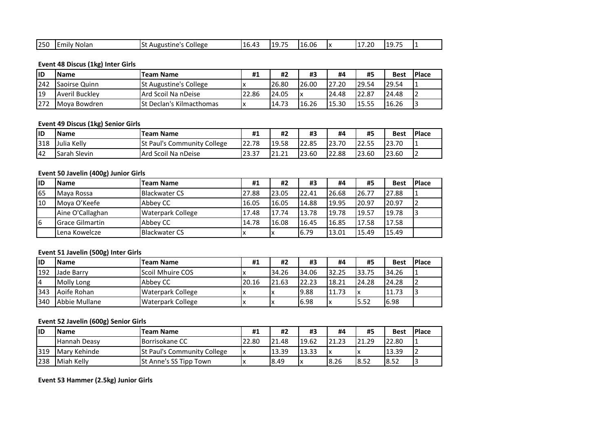| 11 G<br>- 1 L<br>Nolar<br>$-1$<br>College<br>16<br>. . r<br>''<br>. д.<br>$\mathbf{v}$<br>750 V<br>.nliv<br>ne<br>۱ د.<br>5111<br>.LU.<br>$\sqrt{ }$<br><b>TUP</b><br>ں —.<br>.<br>--- | $- - -$ |  | - | $\sim$ | $- -$ | .6.06 |  | ⊥7.20 | --- |  |
|----------------------------------------------------------------------------------------------------------------------------------------------------------------------------------------|---------|--|---|--------|-------|-------|--|-------|-----|--|
|----------------------------------------------------------------------------------------------------------------------------------------------------------------------------------------|---------|--|---|--------|-------|-------|--|-------|-----|--|

# **Event 48 Discus (1kg) Inter Girls**

| <b>IID</b> | <b>Name</b>           | <b>Team Name</b>                 | #1          | #2    | #3    | #4    | #5    | <b>Best</b> | <b>Place</b> |
|------------|-----------------------|----------------------------------|-------------|-------|-------|-------|-------|-------------|--------------|
| 242        | Saoirse Quinn         | <b>St Augustine's College</b>    |             | 26.80 | 26.00 | 27.20 | 29.54 | 29.54       |              |
| 19         | <b>Averil Buckley</b> | lArd Scoil Na nDeise             | າາ<br>22.86 | 24.05 |       | 24.48 | 22.87 | 24.48       | 12           |
| 272        | IMova Bowdren         | <b>ISt Declan's Kilmacthomas</b> |             | 14.73 | 16.26 | 15.30 | 15.55 | 16.26       | 13           |

## **Event 49 Discus (1kg) Senior Girls**

| lid       | <b>Name</b>    | <b>Team Name</b>                   | #1                      | #2                        | #3    | #4    | #5              | <b>Best</b> | <b>IPlace</b> |
|-----------|----------------|------------------------------------|-------------------------|---------------------------|-------|-------|-----------------|-------------|---------------|
| 318       | Julia<br>Kellv | <b>St Paul's Community College</b> | 22.78                   | 19.58                     | 22.85 | 23.70 | $\sim$<br>22.55 | 23.70       | I –           |
| <b>42</b> | .Sarah Slevin  | lArd Scoil Na nDeise               | ר ה<br>$\sim$<br>، د.د∠ | 12121<br>_ _ . _ <u>.</u> | 23.60 | 22.88 | 23.60           | 23.60       | L             |

# **Event 50 Javelin (400g) Junior Girls**

| <b>IID</b> | <b>Name</b>             | Team Name                | #1    | #2    | #3    | #4    | #5    | <b>Best</b> | <b>Place</b> |
|------------|-------------------------|--------------------------|-------|-------|-------|-------|-------|-------------|--------------|
| 165        | Mava Rossa              | <b>Blackwater CS</b>     | 27.88 | 23.05 | 22.41 | 26.68 | 26.77 | 27.88       |              |
| 10         | Moya O'Keefe            | Abbey CC                 | 16.05 | 16.05 | 14.88 | 19.95 | 20.97 | 20.97       |              |
|            | Aine O'Callaghan        | <b>Waterpark College</b> | 17.48 | 17.74 | 13.78 | 19.78 | 19.57 | 19.78       |              |
| 16         | <b>IGrace Gilmartin</b> | Abbey CC                 | 14.78 | 16.08 | 16.45 | 16.85 | 17.58 | 17.58       |              |
|            | Lena Kowelcze           | <b>Blackwater CS</b>     | 'X    |       | 6.79  | 13.01 | 15.49 | 15.49       |              |

# **Event 51 Javelin (500g) Inter Girls**

| lıd | <b>Name</b>   | <b>Team Name</b>         | #1    | #2    | #3    | #4    | #5    | <b>Best</b> | <b>IPlace</b> |
|-----|---------------|--------------------------|-------|-------|-------|-------|-------|-------------|---------------|
| 192 | Jade Barry    | Scoil Mhuire COS         |       | 34.26 | 34.06 | 32.25 | 33.75 | 34.26       |               |
| 14  | Molly Long    | Abbey CC                 | 20.16 | 21.63 | 22.23 | 18.21 | 24.28 | 124.28      |               |
| 343 | Aoife Rohan   | <b>Waterpark College</b> |       |       | 19.88 | 11.73 |       | 11.73       |               |
| 340 | Abbie Mullane | <b>Waterpark College</b> |       | ^     | 6.98  | ΙX    | 5.52  | 6.98        |               |

# **Event 52 Javelin (600g) Senior Girls**

| lid | <b>Name</b>  | <b>Team Name</b>                   | #1    | #2    | #3    | #4    | #5    | <b>Best</b> | <b>IPlace</b> |
|-----|--------------|------------------------------------|-------|-------|-------|-------|-------|-------------|---------------|
|     | Hannah Deasv | Borrisokane CC                     | 22.80 | 21.48 | 19.62 | 21.23 | 21.29 | 22.80       |               |
| 319 | Mary Kehinde | <b>St Paul's Community College</b> | ΙX    | 13.39 | 13.33 | ΙX    |       | 13.39       |               |
| 238 | Miah Kelly   | <b>St Anne's SS Tipp Town</b>      |       | 8.49  | ΙX    | 8.26  | 8.52  | 8.52        | l 3           |

**Event 53 Hammer (2.5kg) Junior Girls**